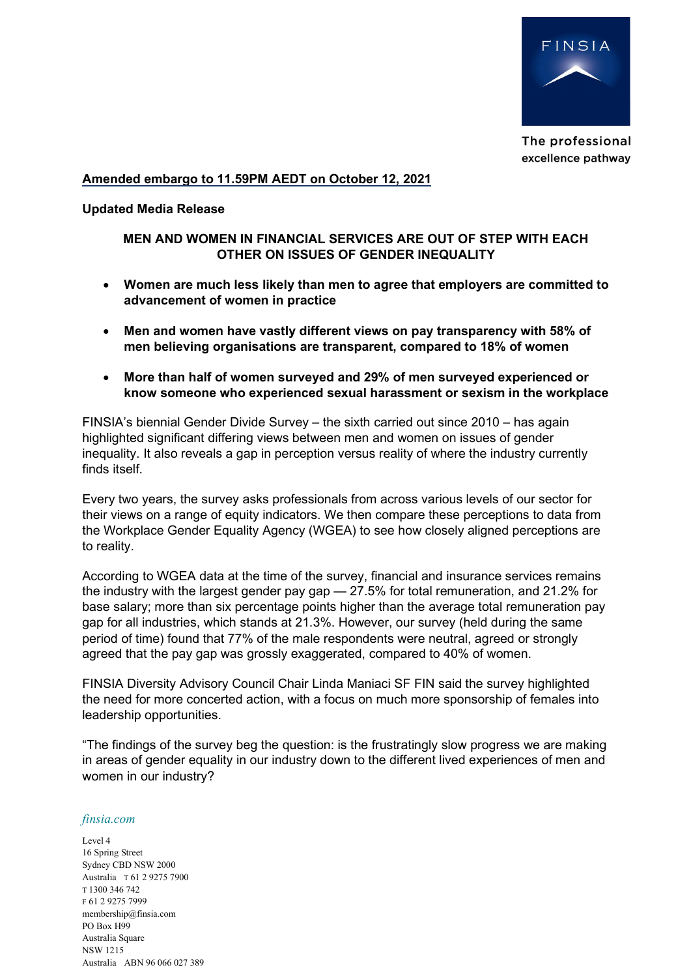

The professional excellence pathway

## Amended embargo to 11.59PM AEDT on October 12, 2021

## Updated Media Release

# MEN AND WOMEN IN FINANCIAL SERVICES ARE OUT OF STEP WITH EACH OTHER ON ISSUES OF GENDER INEQUALITY

- Women are much less likely than men to agree that employers are committed to advancement of women in practice
- Men and women have vastly different views on pay transparency with 58% of men believing organisations are transparent, compared to 18% of women
- More than half of women surveyed and 29% of men surveyed experienced or know someone who experienced sexual harassment or sexism in the workplace

FINSIA's biennial Gender Divide Survey – the sixth carried out since 2010 – has again highlighted significant differing views between men and women on issues of gender inequality. It also reveals a gap in perception versus reality of where the industry currently finds itself.

Every two years, the survey asks professionals from across various levels of our sector for their views on a range of equity indicators. We then compare these perceptions to data from the Workplace Gender Equality Agency (WGEA) to see how closely aligned perceptions are to reality.

According to WGEA data at the time of the survey, financial and insurance services remains the industry with the largest gender pay gap — 27.5% for total remuneration, and 21.2% for base salary; more than six percentage points higher than the average total remuneration pay gap for all industries, which stands at 21.3%. However, our survey (held during the same period of time) found that 77% of the male respondents were neutral, agreed or strongly agreed that the pay gap was grossly exaggerated, compared to 40% of women.

FINSIA Diversity Advisory Council Chair Linda Maniaci SF FIN said the survey highlighted the need for more concerted action, with a focus on much more sponsorship of females into leadership opportunities.

"The findings of the survey beg the question: is the frustratingly slow progress we are making in areas of gender equality in our industry down to the different lived experiences of men and women in our industry?

## finsia.com

Level 4 16 Spring Street Sydney CBD NSW 2000 Australia T 61 2 9275 7900 T 1300 346 742 F 61 2 9275 7999 membership@finsia.com PO Box H99 Australia Square NSW 1215 Australia ABN 96 066 027 389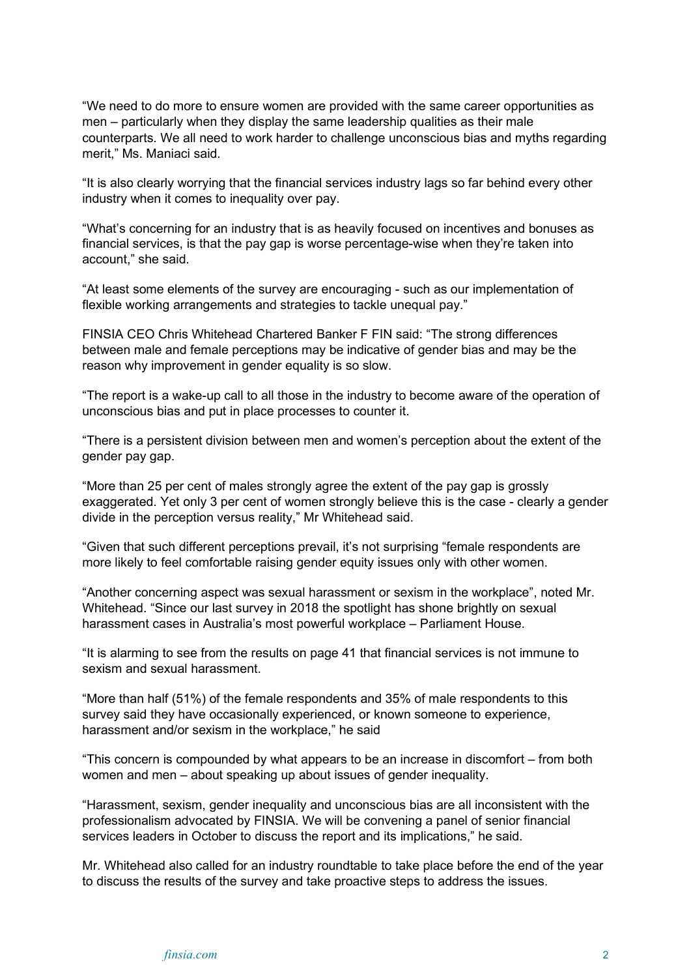"We need to do more to ensure women are provided with the same career opportunities as men – particularly when they display the same leadership qualities as their male counterparts. We all need to work harder to challenge unconscious bias and myths regarding merit," Ms. Maniaci said.

"It is also clearly worrying that the financial services industry lags so far behind every other industry when it comes to inequality over pay.

"What's concerning for an industry that is as heavily focused on incentives and bonuses as financial services, is that the pay gap is worse percentage-wise when they're taken into account," she said.

"At least some elements of the survey are encouraging - such as our implementation of flexible working arrangements and strategies to tackle unequal pay."

FINSIA CEO Chris Whitehead Chartered Banker F FIN said: "The strong differences between male and female perceptions may be indicative of gender bias and may be the reason why improvement in gender equality is so slow.

"The report is a wake-up call to all those in the industry to become aware of the operation of unconscious bias and put in place processes to counter it.

"There is a persistent division between men and women's perception about the extent of the gender pay gap.

"More than 25 per cent of males strongly agree the extent of the pay gap is grossly exaggerated. Yet only 3 per cent of women strongly believe this is the case - clearly a gender divide in the perception versus reality," Mr Whitehead said.

"Given that such different perceptions prevail, it's not surprising "female respondents are more likely to feel comfortable raising gender equity issues only with other women.

"Another concerning aspect was sexual harassment or sexism in the workplace", noted Mr. Whitehead. "Since our last survey in 2018 the spotlight has shone brightly on sexual harassment cases in Australia's most powerful workplace – Parliament House.

"It is alarming to see from the results on page 41 that financial services is not immune to sexism and sexual harassment.

"More than half (51%) of the female respondents and 35% of male respondents to this survey said they have occasionally experienced, or known someone to experience, harassment and/or sexism in the workplace," he said

"This concern is compounded by what appears to be an increase in discomfort – from both women and men – about speaking up about issues of gender inequality.

"Harassment, sexism, gender inequality and unconscious bias are all inconsistent with the professionalism advocated by FINSIA. We will be convening a panel of senior financial services leaders in October to discuss the report and its implications," he said.

Mr. Whitehead also called for an industry roundtable to take place before the end of the year to discuss the results of the survey and take proactive steps to address the issues.